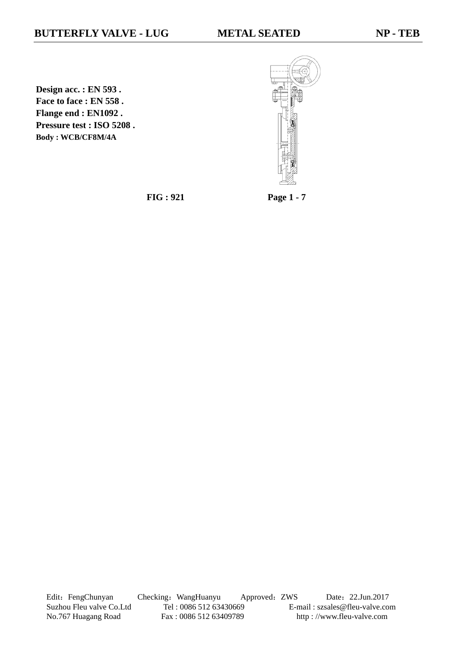**Design acc. : EN 593 . Face to face : EN 558 . Flange end : EN1092 . Pressure test : ISO 5208 . Body : WCB/CF8M/4A**



**FIG : 921 Page 1 - 7**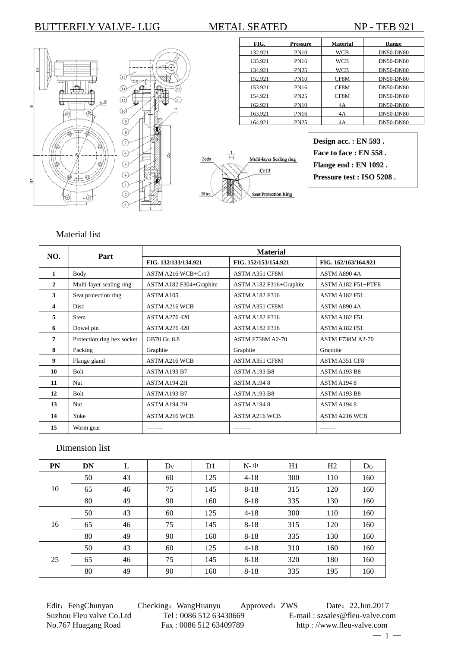



| FIG.    | Pressure    | <b>Material</b> | Range            |
|---------|-------------|-----------------|------------------|
| 132.921 | <b>PN10</b> | <b>WCB</b>      | <b>DN50-DN80</b> |
| 133.921 | <b>PN16</b> | <b>WCB</b>      | <b>DN50-DN80</b> |
| 134.921 | <b>PN25</b> | <b>WCB</b>      | <b>DN50-DN80</b> |
| 152.921 | <b>PN10</b> | CF8M            | <b>DN50-DN80</b> |
| 153.921 | <b>PN16</b> | CF8M            | <b>DN50-DN80</b> |
| 154.921 | <b>PN25</b> | CF8M            | <b>DN50-DN80</b> |
| 162.921 | <b>PN10</b> | 4Α              | <b>DN50-DN80</b> |
| 163.921 | <b>PN16</b> | 4Α              | <b>DN50-DN80</b> |
| 164.921 | <b>PN25</b> | 4Α              | <b>DN50-DN80</b> |

**Design acc. : EN 593 . Face to face : EN 558 . Flange end : EN 1092 . Pressure test : ISO 5208 .**

### Material list

| NO.          | Part                       |                         | <b>Material</b>         |                         |
|--------------|----------------------------|-------------------------|-------------------------|-------------------------|
|              |                            | FIG. 132/133/134.921    | FIG. 152/153/154.921    | FIG. 162/163/164.921    |
| 1            | <b>Body</b>                | ASTM A216 WCB+Cr13      | <b>ASTM A351 CF8M</b>   | <b>ASTM A890 4A</b>     |
| $\mathbf{2}$ | Multi-layer sealing ring   | ASTM A182 F304+Graphite | ASTM A182 F316+Graphite | ASTM A182 F51+PTFE      |
| 3            | Seat protection ring       | ASTM A105               | <b>ASTM A182 F316</b>   | <b>ASTM A182 F51</b>    |
| 4            | Disc                       | <b>ASTM A216 WCB</b>    | <b>ASTM A351 CF8M</b>   | ASTM A8904A             |
| 5            | Stem                       | <b>ASTM A276 420</b>    | <b>ASTM A182 F316</b>   | <b>ASTM A182 F51</b>    |
| 6            | Dowel pin                  | <b>ASTM A276 420</b>    | <b>ASTM A182 F316</b>   | <b>ASTM A182 F51</b>    |
| 7            | Protection ring hex socket | GB70 Gr. 8.8            | <b>ASTM F738M A2-70</b> | <b>ASTM F738M A2-70</b> |
| 8            | Packing                    | Graphite                | Graphite                | Graphite                |
| 9            | Flange gland               | <b>ASTM A216 WCB</b>    | <b>ASTM A351 CF8M</b>   | ASTM A351 CF8           |
| 10           | Bolt                       | ASTM A193 B7            | ASTM A193 B8            | ASTM A193 B8            |
| 11           | <b>Nut</b>                 | ASTM A194 2H            | ASTM A1948              | ASTM A1948              |
| 12           | Bolt                       | ASTM A193 B7            | ASTM A193 B8            | ASTM A193 B8            |
| 13           | <b>Nut</b>                 | ASTM A194 2H            | ASTM A1948              | ASTM A1948              |
| 14           | Yoke                       | <b>ASTM A216 WCB</b>    | <b>ASTM A216 WCB</b>    | <b>ASTM A216 WCB</b>    |
| 15           | Worm gear                  |                         |                         |                         |

#### Dimension list

| <b>PN</b> | <b>DN</b> | L  | $D_V$ | D1  | $N - \Phi$ | H1  | H2  | D <sub>0</sub> |
|-----------|-----------|----|-------|-----|------------|-----|-----|----------------|
|           | 50        | 43 | 60    | 125 | $4 - 18$   | 300 | 110 | 160            |
| 10        | 65        | 46 | 75    | 145 | $8 - 18$   | 315 | 120 | 160            |
|           | 80        | 49 | 90    | 160 | $8-18$     | 335 | 130 | 160            |
|           | 50        | 43 | 60    | 125 | $4 - 18$   | 300 | 110 | 160            |
| 16        | 65        | 46 | 75    | 145 | $8-18$     | 315 | 120 | 160            |
|           | 80        | 49 | 90    | 160 | $8-18$     | 335 | 130 | 160            |
|           | 50        | 43 | 60    | 125 | $4 - 18$   | 310 | 160 | 160            |
| 25        | 65        | 46 | 75    | 145 | $8 - 18$   | 320 | 180 | 160            |
|           | 80        | 49 | 90    | 160 | $8 - 18$   | 335 | 195 | 160            |

Edit: FengChunyan Checking: WangHuanyu Approved: ZWS Date: 22.Jun.2017 Suzhou Fleu valve Co.Ltd Tel : 0086 512 63430669 E-mail : szsales@fleu-valve.com<br>No.767 Huagang Road Fax : 0086 512 63409789 http : //www.fleu-valve.com http : //www.fleu-valve.com

 $-1-$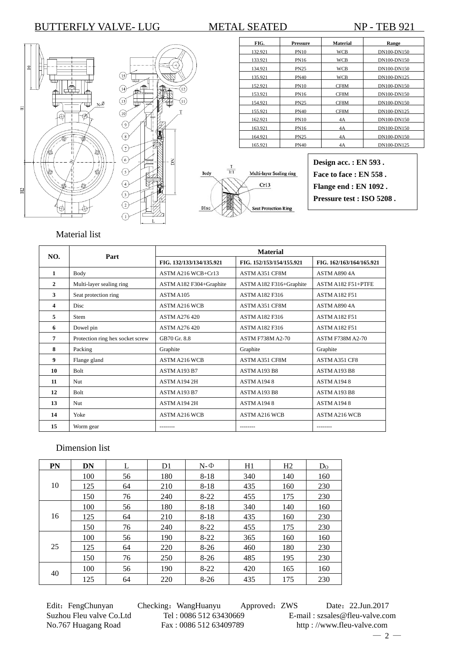





| FIG.    | <b>Pressure</b> | <b>Material</b> | Range       |
|---------|-----------------|-----------------|-------------|
| 132.921 | <b>PN10</b>     | WCB             | DN100-DN150 |
| 133.921 | PN16            | WCB             | DN100-DN150 |
| 134.921 | <b>PN25</b>     | WCB             | DN100-DN150 |
| 135.921 | <b>PN40</b>     | WCB             | DN100-DN125 |
| 152.921 | <b>PN10</b>     | CF8M            | DN100-DN150 |
| 153.921 | <b>PN16</b>     | CF8M            | DN100-DN150 |
| 154.921 | <b>PN25</b>     | CF8M            | DN100-DN150 |
| 155.921 | <b>PN40</b>     | CF8M            | DN100-DN125 |
| 162.921 | <b>PN10</b>     | 4A              | DN100-DN150 |
| 163.921 | <b>PN16</b>     | 4A              | DN100-DN150 |
| 164.921 | <b>PN25</b>     | 4A              | DN100-DN150 |
| 165.921 | <b>PN40</b>     | 4A              | DN100-DN125 |

**Design acc. : EN 593 . Face to face : EN 558 . Flange end : EN 1092 .**

**Pressure test : ISO 5208 .**

# Material list

| NO.            | Part                             |                          | <b>Material</b>          |                          |
|----------------|----------------------------------|--------------------------|--------------------------|--------------------------|
|                |                                  | FIG. 132/133/134/135.921 | FIG. 152/153/154/155.921 | FIG. 162/163/164/165.921 |
| 1              | Body                             | ASTM A216 WCB+Cr13       | ASTM A351 CF8M           | ASTM A8904A              |
| $\mathbf{2}$   | Multi-layer sealing ring         | ASTM A182 F304+Graphite  | ASTM A182 F316+Graphite  | ASTM A182 F51+PTFE       |
| 3              | Seat protection ring             | ASTM A105                | <b>ASTM A182 F316</b>    | <b>ASTM A182 F51</b>     |
| $\overline{4}$ | <b>Disc</b>                      | <b>ASTM A216 WCB</b>     | <b>ASTM A351 CF8M</b>    | ASTM A8904A              |
| 5              | Stem                             | <b>ASTM A276 420</b>     | ASTM A182 F316           | <b>ASTM A182 F51</b>     |
| 6              | Dowel pin                        | <b>ASTM A276 420</b>     | <b>ASTM A182 F316</b>    | <b>ASTM A182 F51</b>     |
| 7              | Protection ring hex socket screw | GB70 Gr. 8.8             | <b>ASTM F738M A2-70</b>  | <b>ASTM F738M A2-70</b>  |
| 8              | Packing                          | Graphite                 | Graphite                 | Graphite                 |
| 9              | Flange gland                     | <b>ASTM A216 WCB</b>     | <b>ASTM A351 CF8M</b>    | ASTM A351 CF8            |
| 10             | <b>Bolt</b>                      | <b>ASTM A193 B7</b>      | <b>ASTM A193 B8</b>      | <b>ASTM A193 B8</b>      |
| 11             | <b>Nut</b>                       | ASTM A194 2H             | ASTM A1948               | ASTM A1948               |
| 12             | <b>Bolt</b>                      | ASTM A193 B7             | ASTM A193 B8             | ASTM A193 B8             |
| 13             | <b>Nut</b>                       | ASTM A194 2H             | <b>ASTM A1948</b>        | ASTM A1948               |
| 14             | Yoke                             | <b>ASTM A216 WCB</b>     | <b>ASTM A216 WCB</b>     | <b>ASTM A216 WCB</b>     |
| 15             | Worm gear                        | --------                 |                          | --------                 |

#### Dimension list

| <b>PN</b> | DN  | L  | D <sub>1</sub> | $N-\Phi$ | H1  | H <sub>2</sub> | D <sub>0</sub> |
|-----------|-----|----|----------------|----------|-----|----------------|----------------|
|           | 100 | 56 | 180            | $8 - 18$ | 340 | 140            | 160            |
| 10        | 125 | 64 | 210            | $8 - 18$ | 435 | 160            | 230            |
|           | 150 | 76 | 240            | $8-22$   | 455 | 175            | 230            |
|           | 100 | 56 | 180            | $8 - 18$ | 340 | 140            | 160            |
| 16        | 125 | 64 | 210            | $8 - 18$ | 435 | 160            | 230            |
|           | 150 | 76 | 240            | $8-22$   | 455 | 175            | 230            |
|           | 100 | 56 | 190            | $8-22$   | 365 | 160            | 160            |
| 25        | 125 | 64 | 220            | $8-26$   | 460 | 180            | 230            |
|           | 150 | 76 | 250            | $8-26$   | 485 | 195            | 230            |
| 40        | 100 | 56 | 190            | $8-22$   | 420 | 165            | 160            |
|           | 125 | 64 | 220            | $8-26$   | 435 | 175            | 230            |

Edit: FengChunyan Checking: WangHuanyu Approved: ZWS Date: 22.Jun.2017 Suzhou Fleu valve Co.Ltd Tel : 0086 512 63430669 E-mail : szsales@fleu-valve.com<br>No.767 Huagang Road Fax : 0086 512 63409789 http : //www.fleu-valve.com http : //www.fleu-valve.com

 $-2-$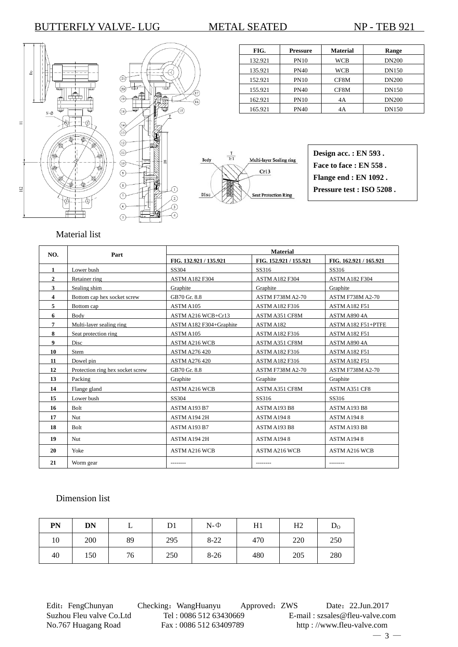



ภ

 $\widehat{a}$ 



| FIG.    | <b>Pressure</b> | <b>Material</b> | Range        |
|---------|-----------------|-----------------|--------------|
| 132.921 | <b>PN10</b>     | <b>WCB</b>      | <b>DN200</b> |
| 135.921 | <b>PN40</b>     | <b>WCB</b>      | <b>DN150</b> |
| 152.921 | <b>PN10</b>     | CF8M            | <b>DN200</b> |
| 155.921 | <b>PN40</b>     | CF8M            | <b>DN150</b> |
| 162.921 | <b>PN10</b>     | 4A              | <b>DN200</b> |
| 165.921 | <b>PN40</b>     | 4Α              | <b>DN150</b> |



### Material list

| NO.          | Part                             | <b>Material</b>         |                         |                         |
|--------------|----------------------------------|-------------------------|-------------------------|-------------------------|
|              |                                  | FIG. 132.921 / 135.921  | FIG. 152.921 / 155.921  | FIG. 162.921 / 165.921  |
| 1            | Lower bush                       | SS304                   | SS316                   | SS316                   |
| $\mathbf{2}$ | Retainer ring                    | <b>ASTM A182 F304</b>   | <b>ASTM A182 F304</b>   | <b>ASTM A182 F304</b>   |
| 3            | Sealing shim                     | Graphite                | Graphite                | Graphite                |
| 4            | Bottom cap hex socket screw      | GB70 Gr. 8.8            | <b>ASTM F738M A2-70</b> | <b>ASTM F738M A2-70</b> |
| 5            | Bottom cap                       | ASTM A105               | <b>ASTM A182 F316</b>   | <b>ASTM A182 F51</b>    |
| 6            | Body                             | ASTM A216 WCB+Cr13      | ASTM A351 CF8M          | ASTM A8904A             |
| 7            | Multi-layer sealing ring         | ASTM A182 F304+Graphite | ASTM A182               | ASTM A182 F51+PTFE      |
| 8            | Seat protection ring             | ASTM A105               | <b>ASTM A182 F316</b>   | <b>ASTM A182 F51</b>    |
| 9            | Disc                             | <b>ASTM A216 WCB</b>    | <b>ASTM A351 CF8M</b>   | ASTM A8904A             |
| 10           | <b>Stem</b>                      | <b>ASTM A276 420</b>    | <b>ASTM A182 F316</b>   | <b>ASTM A182 F51</b>    |
| 11           | Dowel pin                        | <b>ASTM A276 420</b>    | <b>ASTM A182 F316</b>   | <b>ASTM A182 F51</b>    |
| 12           | Protection ring hex socket screw | GB70 Gr. 8.8            | <b>ASTM F738M A2-70</b> | <b>ASTM F738M A2-70</b> |
| 13           | Packing                          | Graphite                | Graphite                | Graphite                |
| 14           | Flange gland                     | <b>ASTM A216 WCB</b>    | ASTM A351 CF8M          | ASTM A351 CF8           |
| 15           | Lower bush                       | SS304                   | SS316                   | SS316                   |
| 16           | <b>Bolt</b>                      | ASTM A193 B7            | ASTM A193 B8            | ASTM A193 B8            |
| 17           | <b>Nut</b>                       | ASTM A194 2H            | ASTM A1948              | ASTM A1948              |
| 18           | <b>Bolt</b>                      | ASTM A193 B7            | ASTM A193 B8            | ASTM A193 B8            |
| 19           | <b>Nut</b>                       | ASTM A194 2H            | ASTM A1948              | ASTM A1948              |
| 20           | Yoke                             | ASTM A216 WCB           | <b>ASTM A216 WCB</b>    | <b>ASTM A216 WCB</b>    |
| 21           | Worm gear                        |                         |                         |                         |

#### Dimension list

| PN | DN  |    | D1  | $N - \Phi$ | H1  | Η2  | $D_{\rm O}$ |
|----|-----|----|-----|------------|-----|-----|-------------|
| 10 | 200 | 89 | 295 | $8 - 22$   | 470 | 220 | 250         |
| 40 | 150 | 76 | 250 | $8-26$     | 480 | 205 | 280         |

Edit: FengChunyan Checking: WangHuanyu Approved: ZWS Date: 22.Jun.2017 Suzhou Fleu valve Co.Ltd Tel : 0086 512 63430669 E-mail : szsales@fleu-valve.com<br>No.767 Huagang Road Fax : 0086 512 63409789 http : //www.fleu-valve.com

http : //www.fleu-valve.com  $-3-$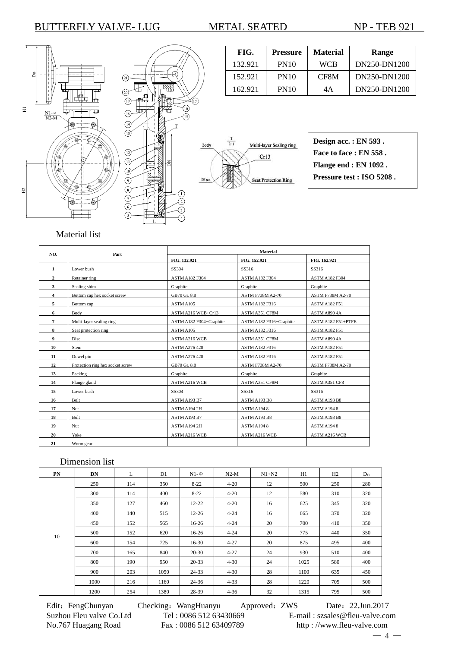



្រ

| FIG.    | <b>Pressure</b> | <b>Material</b> | Range        |
|---------|-----------------|-----------------|--------------|
| 132.921 | <b>PN10</b>     | WCB             | DN250-DN1200 |
| 152.921 | <b>PN10</b>     | CF8M            | DN250-DN1200 |
| 162.921 | <b>PN10</b>     | 4Α              | DN250-DN1200 |



| Design acc.: EN 593.      |
|---------------------------|
| Face to face : EN 558.    |
| Flange end : EN 1092.     |
| Pressure test : ISO 5208. |
|                           |

### Material list

| NO.            | Part                             | Material                |                         |                         |  |  |
|----------------|----------------------------------|-------------------------|-------------------------|-------------------------|--|--|
|                |                                  | FIG. 132.921            | FIG. 152.921            | FIG. 162.921            |  |  |
| $\mathbf{1}$   | Lower bush                       | SS304                   | SS316                   | SS316                   |  |  |
| $\overline{2}$ | Retainer ring                    | <b>ASTM A182 F304</b>   | <b>ASTM A182 F304</b>   | <b>ASTM A182 F304</b>   |  |  |
| 3              | Sealing shim                     | Graphite                | Graphite                | Graphite                |  |  |
| 4              | Bottom cap hex socket screw      | GB70 Gr. 8.8            | <b>ASTM F738M A2-70</b> | <b>ASTM F738M A2-70</b> |  |  |
| 5              | Bottom cap                       | ASTM A105               | ASTM A182 F316          | <b>ASTM A182 F51</b>    |  |  |
| 6              | Body                             | ASTM A216 WCB+Cr13      | ASTM A351 CF8M          | ASTM A890 4A            |  |  |
| 7              | Multi-layer sealing ring         | ASTM A182 F304+Graphite | ASTM A182 F316+Graphite | ASTM A182 F51+PTFE      |  |  |
| 8              | Seat protection ring             | ASTM A105               | ASTM A182 F316          | <b>ASTM A182 F51</b>    |  |  |
| 9              | Disc                             | <b>ASTM A216 WCB</b>    | ASTM A351 CF8M          | ASTM A890 4A            |  |  |
| 10             | Stem                             | <b>ASTM A276 420</b>    | <b>ASTM A182 F316</b>   | <b>ASTM A182 F51</b>    |  |  |
| 11             | Dowel pin                        | <b>ASTM A276 420</b>    | ASTM A182 F316          | <b>ASTM A182 F51</b>    |  |  |
| 12             | Protection ring hex socket screw | GB70 Gr. 8.8            | <b>ASTM F738M A2-70</b> | <b>ASTM F738M A2-70</b> |  |  |
| 13             | Packing                          | Graphite                | Graphite                | Graphite                |  |  |
| 14             | Flange gland                     | <b>ASTM A216 WCB</b>    | ASTM A351 CF8M          | ASTM A351 CF8           |  |  |
| 15             | Lower bush                       | SS304                   | SS316                   | SS316                   |  |  |
| 16             | Bolt                             | ASTM A193 B7            | ASTM A193 B8            | ASTM A193 B8            |  |  |
| 17             | Nut                              | ASTM A194 2H            | ASTM A1948              | ASTM A1948              |  |  |
| 18             | Bolt                             | ASTM A193 B7            | ASTM A193 B8            | ASTM A193 B8            |  |  |
| 19             | Nut                              | ASTM A194 2H            | ASTM A1948              | ASTM A1948              |  |  |
| 20             | Yoke                             | <b>ASTM A216 WCB</b>    | <b>ASTM A216 WCB</b>    | <b>ASTM A216 WCB</b>    |  |  |
| 21             | Worm gear                        | --------                | --------                | --------                |  |  |

### Dimension list

| PN | DN   | L   | D1   | $N1-\Phi$ | $N2-M$   | $N1+N2$ | H1   | H2  | $D_0$ |
|----|------|-----|------|-----------|----------|---------|------|-----|-------|
|    | 250  | 114 | 350  | $8 - 22$  | $4 - 20$ | 12      | 500  | 250 | 280   |
|    | 300  | 114 | 400  | $8-22$    | $4 - 20$ | 12      | 580  | 310 | 320   |
|    | 350  | 127 | 460  | $12 - 22$ | $4 - 20$ | 16      | 625  | 345 | 320   |
|    | 400  | 140 | 515  | $12 - 26$ | $4 - 24$ | 16      | 665  | 370 | 320   |
|    | 450  | 152 | 565  | $16-26$   | $4 - 24$ | 20      | 700  | 410 | 350   |
| 10 | 500  | 152 | 620  | $16-26$   | $4 - 24$ | 20      | 775  | 440 | 350   |
|    | 600  | 154 | 725  | $16 - 30$ | $4 - 27$ | 20      | 875  | 495 | 400   |
|    | 700  | 165 | 840  | $20 - 30$ | $4 - 27$ | 24      | 930  | 510 | 400   |
|    | 800  | 190 | 950  | $20 - 33$ | $4 - 30$ | 24      | 1025 | 580 | 400   |
|    | 900  | 203 | 1050 | 24-33     | $4 - 30$ | 28      | 1100 | 635 | 450   |
|    | 1000 | 216 | 1160 | $24 - 36$ | $4 - 33$ | 28      | 1220 | 705 | 500   |
|    | 1200 | 254 | 1380 | 28-39     | $4 - 36$ | 32      | 1315 | 795 | 500   |

Edit: FengChunyan Checking: WangHuanyu Approved: ZWS Date: 22.Jun.2017 Suzhou Fleu valve Co.Ltd Tel : 0086 512 63430669 E-mail : szsales@fleu-valve.com<br>No.767 Huagang Road Fax : 0086 512 63409789 http : //www.fleu-valve.com

http : //www.fleu-valve.com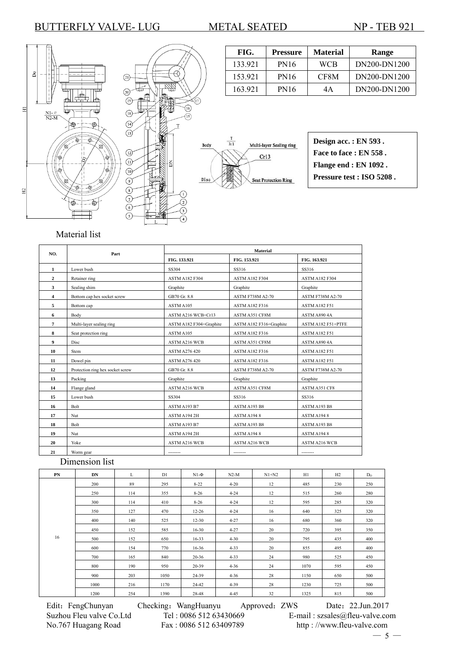



G



FIG. Pressure Material Range 133.921 | PN16 | WCB | DN200-DN1200 153.921 PN16 CF8M DN200-DN1200 163.921 PN16 4A DN200-DN1200

# Material list

| NO.            | Part                             | <b>Material</b>         |                         |                         |  |  |
|----------------|----------------------------------|-------------------------|-------------------------|-------------------------|--|--|
|                |                                  | FIG. 133.921            | FIG. 153.921            | FIG. 163.921            |  |  |
| 1              | Lower bush                       | SS304                   | SS316                   | SS316                   |  |  |
| $\mathbf{2}$   | Retainer ring                    | <b>ASTM A182 F304</b>   | <b>ASTM A182 F304</b>   | <b>ASTM A182 F304</b>   |  |  |
| 3              | Sealing shim                     | Graphite                | Graphite                | Graphite                |  |  |
| $\overline{4}$ | Bottom cap hex socket screw      | GB70 Gr. 8.8            | <b>ASTM F738M A2-70</b> | <b>ASTM F738M A2-70</b> |  |  |
| 5              | Bottom cap                       | ASTM A105               | ASTM A182 F316          | <b>ASTM A182 F51</b>    |  |  |
| 6              | Body                             | ASTM A216 WCB+Cr13      | ASTM A351 CF8M          | ASTM A890 4A            |  |  |
| 7              | Multi-layer sealing ring         | ASTM A182 F304+Graphite | ASTM A182 F316+Graphite | ASTM A182 F51+PTFE      |  |  |
| 8              | Seat protection ring             | ASTM A105               | <b>ASTM A182 F316</b>   | <b>ASTM A182 F51</b>    |  |  |
| 9              | Disc                             | <b>ASTM A216 WCB</b>    | ASTM A351 CF8M          | ASTM A890 4A            |  |  |
| 10             | <b>Stem</b>                      | <b>ASTM A276 420</b>    | <b>ASTM A182 F316</b>   | <b>ASTM A182 F51</b>    |  |  |
| 11             | Dowel pin                        | <b>ASTM A276 420</b>    | <b>ASTM A182 F316</b>   | <b>ASTM A182 F51</b>    |  |  |
| 12             | Protection ring hex socket screw | GB70 Gr. 8.8            | <b>ASTM F738M A2-70</b> | <b>ASTM F738M A2-70</b> |  |  |
| 13             | Packing                          | Graphite                | Graphite                | Graphite                |  |  |
| 14             | Flange gland                     | <b>ASTM A216 WCB</b>    | ASTM A351 CF8M          | ASTM A351 CF8           |  |  |
| 15             | Lower bush                       | SS304                   | SS316                   | SS316                   |  |  |
| 16             | Bolt                             | ASTM A193 B7            | ASTM A193 B8            | ASTM A193 B8            |  |  |
| 17             | Nut                              | ASTM A194 2H            | ASTM A1948              | ASTM A1948              |  |  |
| 18             | Bolt                             | ASTM A193 B7            | ASTM A193 B8            | ASTM A193 B8            |  |  |
| 19             | Nut                              | ASTM A194 2H            | ASTM A1948              | ASTM A1948              |  |  |
| 20             | Yoke                             | <b>ASTM A216 WCB</b>    | <b>ASTM A216 WCB</b>    | <b>ASTM A216 WCB</b>    |  |  |
| 21             | Worm gear                        | ---------               | ---------               | ---------               |  |  |

## Dimension list

| PN | <b>DN</b> | L   | D1   | $N1-\Phi$ | $N2-M$   | $N1+N2$ | H1   | H <sub>2</sub> | $D_{\Omega}$ |
|----|-----------|-----|------|-----------|----------|---------|------|----------------|--------------|
|    | 200       | 89  | 295  | $8 - 22$  | $4 - 20$ | 12      | 485  | 230            | 250          |
|    | 250       | 114 | 355  | $8 - 26$  | $4 - 24$ | 12      | 515  | 260            | 280          |
|    | 300       | 114 | 410  | $8 - 26$  | $4 - 24$ | 12      | 595  | 285            | 320          |
|    | 350       | 127 | 470  | $12 - 26$ | $4 - 24$ | 16      | 640  | 325            | 320          |
|    | 400       | 140 | 525  | $12 - 30$ | $4 - 27$ | 16      | 680  | 360            | 320          |
|    | 450       | 152 | 585  | $16 - 30$ | $4 - 27$ | 20      | 720  | 395            | 350          |
| 16 | 500       | 152 | 650  | $16 - 33$ | $4 - 30$ | 20      | 795  | 435            | 400          |
|    | 600       | 154 | 770  | $16 - 36$ | $4 - 33$ | 20      | 855  | 495            | 400          |
|    | 700       | 165 | 840  | $20 - 36$ | $4 - 33$ | 24      | 980  | 525            | 450          |
|    | 800       | 190 | 950  | $20 - 39$ | $4 - 36$ | 24      | 1070 | 595            | 450          |
|    | 900       | 203 | 1050 | 24-39     | $4 - 36$ | 28      | 1150 | 650            | 500          |
|    | 1000      | 216 | 1170 | 24-42     | $4 - 39$ | 28      | 1230 | 725            | 500          |
|    |           | 254 | 1390 |           | $4 - 45$ | 32      |      | 815            | 500          |
|    | 1200      |     |      | 28-48     |          |         | 1325 |                |              |

Suzhou Fleu valve Co.Ltd Tel : 0086 512 63430669 E-mail : szsales@fleu-valve.com<br>No.767 Huagang Road Fax : 0086 512 63409789 http : //www.fleu-valve.com

Edit: FengChunyan Checking: WangHuanyu Approved: ZWS Date: 22.Jun.2017 http : //www.fleu-valve.com  $-5-$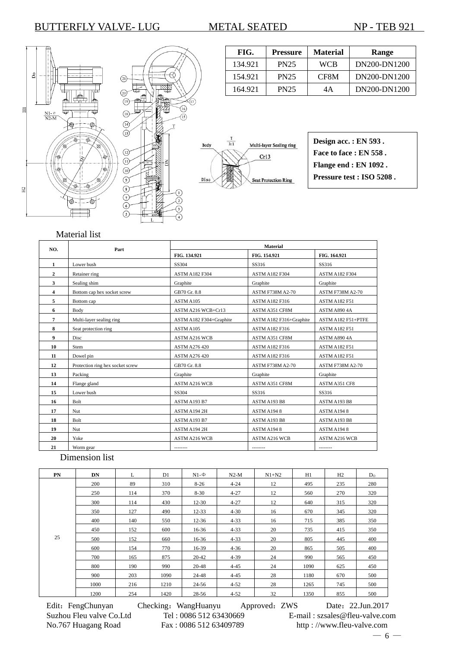



T

| FIG.    | <b>Pressure</b> | <b>Material</b> | Range        |
|---------|-----------------|-----------------|--------------|
| 134.921 | <b>PN25</b>     | WCB             | DN200-DN1200 |
| 154.921 | <b>PN25</b>     | CF8M            | DN200-DN1200 |
| 164.921 | <b>PN25</b>     | 4Α              | DN200-DN1200 |



| Design acc.: EN 593.      |
|---------------------------|
| Face to face : EN 558.    |
| Flange end : EN 1092.     |
| Pressure test : ISO 5208. |
|                           |

### Material list

| NO.                     | Part                             | <b>Material</b>         |                         |                         |  |  |
|-------------------------|----------------------------------|-------------------------|-------------------------|-------------------------|--|--|
|                         |                                  | FIG. 134.921            | FIG. 154.921            | FIG. 164.921            |  |  |
| 1                       | Lower bush                       | SS304                   | SS316                   | SS316                   |  |  |
| $\overline{2}$          | Retainer ring                    | <b>ASTM A182 F304</b>   | <b>ASTM A182 F304</b>   | <b>ASTM A182 F304</b>   |  |  |
| 3                       | Sealing shim                     | Graphite                | Graphite                | Graphite                |  |  |
| $\overline{\mathbf{4}}$ | Bottom cap hex socket screw      | GB70 Gr. 8.8            | <b>ASTM F738M A2-70</b> | <b>ASTM F738M A2-70</b> |  |  |
| 5                       | Bottom cap                       | ASTM A105               | <b>ASTM A182 F316</b>   | <b>ASTM A182 F51</b>    |  |  |
| 6                       | Body                             | ASTM A216 WCB+Cr13      | <b>ASTM A351 CF8M</b>   | ASTM A890 4A            |  |  |
| $\overline{7}$          | Multi-layer sealing ring         | ASTM A182 F304+Graphite | ASTM A182 F316+Graphite | ASTM A182 F51+PTFE      |  |  |
| 8                       | Seat protection ring             | ASTM A105               | <b>ASTM A182 F316</b>   | <b>ASTM A182 F51</b>    |  |  |
| 9                       | Disc                             | <b>ASTM A216 WCB</b>    | <b>ASTM A351 CF8M</b>   | ASTM A8904A             |  |  |
| 10                      | Stem                             | ASTM A276 420           | ASTM A182 F316          | <b>ASTM A182 F51</b>    |  |  |
| 11                      | Dowel pin                        | <b>ASTM A276 420</b>    | ASTM A182 F316          | <b>ASTM A182 F51</b>    |  |  |
| 12                      | Protection ring hex socket screw | GB70 Gr. 8.8            | <b>ASTM F738M A2-70</b> | <b>ASTM F738M A2-70</b> |  |  |
| 13                      | Packing                          | Graphite                | Graphite                | Graphite                |  |  |
| 14                      | Flange gland                     | <b>ASTM A216 WCB</b>    | ASTM A351 CF8M          | ASTM A351 CF8           |  |  |
| 15                      | Lower bush                       | SS304                   | SS316                   | SS316                   |  |  |
| 16                      | Bolt                             | ASTM A193 B7            | ASTM A193 B8            | ASTM A193 B8            |  |  |
| 17                      | Nut                              | ASTM A194 2H            | ASTM A1948              | ASTM A1948              |  |  |
| 18                      | Bolt                             | ASTM A193 B7            | ASTM A193 B8            | ASTM A193 B8            |  |  |
| 19                      | Nut                              | ASTM A194 2H            | ASTM A1948              | ASTM A1948              |  |  |
| 20                      | Yoke                             | <b>ASTM A216 WCB</b>    | <b>ASTM A216 WCB</b>    | <b>ASTM A216 WCB</b>    |  |  |
| 21                      | Worm gear                        | --------                | --------                | --------                |  |  |

### Dimension list

| PN | <b>DN</b> | L   | D1   | $N1-\Phi$ | $N2-M$   | $N1+N2$ | H1   | H2  | $D_0$ |
|----|-----------|-----|------|-----------|----------|---------|------|-----|-------|
|    | 200       | 89  | 310  | $8 - 26$  | $4 - 24$ | 12      | 495  | 235 | 280   |
|    | 250       | 114 | 370  | $8 - 30$  | $4 - 27$ | 12      | 560  | 270 | 320   |
|    | 300       | 114 | 430  | $12 - 30$ | $4 - 27$ | 12      | 640  | 315 | 320   |
|    | 350       | 127 | 490  | $12 - 33$ | $4 - 30$ | 16      | 670  | 345 | 320   |
| 25 | 400       | 140 | 550  | $12 - 36$ | $4 - 33$ | 16      | 715  | 385 | 350   |
|    | 450       | 152 | 600  | $16-36$   | $4 - 33$ | 20      | 735  | 415 | 350   |
|    | 500       | 152 | 660  | $16-36$   | $4 - 33$ | 20      | 805  | 445 | 400   |
|    | 600       | 154 | 770  | $16-39$   | $4 - 36$ | 20      | 865  | 505 | 400   |
|    | 700       | 165 | 875  | $20 - 42$ | $4 - 39$ | 24      | 990  | 565 | 450   |
|    | 800       | 190 | 990  | 20-48     | $4 - 45$ | 24      | 1090 | 625 | 450   |
|    | 900       | 203 | 1090 | 24-48     | $4 - 45$ | 28      | 1180 | 670 | 500   |
|    | 1000      | 216 | 1210 | 24-56     | $4 - 52$ | 28      | 1265 | 745 | 500   |
|    | 1200      | 254 | 1420 | 28-56     | $4 - 52$ | 32      | 1350 | 855 | 500   |

Edit: FengChunyan Checking: WangHuanyu Approved: ZWS Date: 22.Jun.2017 Suzhou Fleu valve Co.Ltd Tel : 0086 512 63430669 E-mail : szsales@fleu-valve.com<br>No.767 Huagang Road Fax : 0086 512 63409789 http : //www.fleu-valve.com http : //www.fleu-valve.com